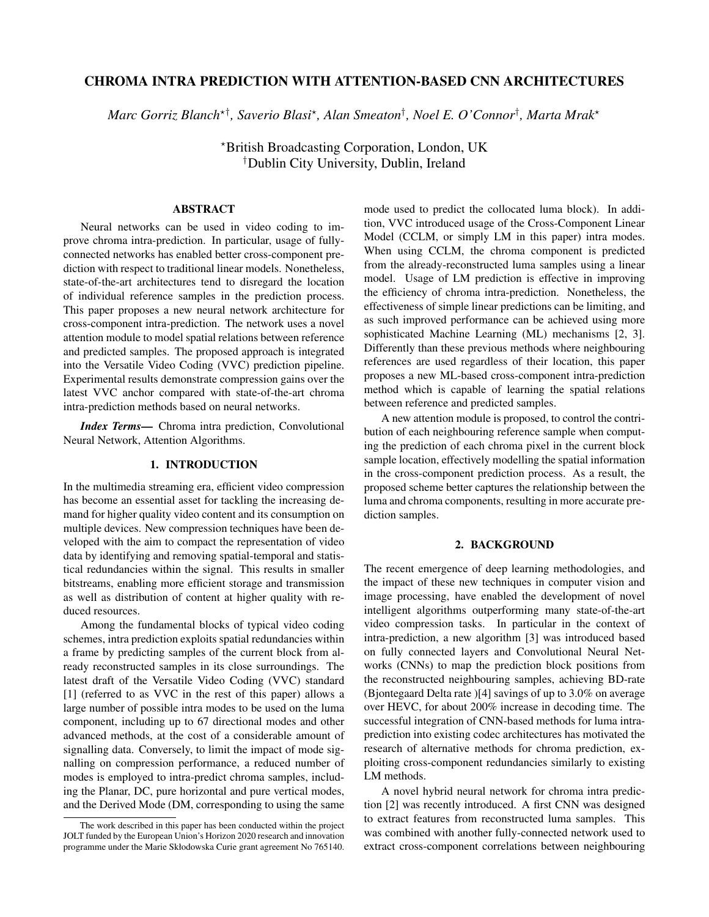# CHROMA INTRA PREDICTION WITH ATTENTION-BASED CNN ARCHITECTURES

 $\emph{Marc Gorriz Blanch*}^{\dagger}$ , Saverio Blasi\*, Alan Smeaton<sup>†</sup>, Noel E. O'Connor<sup>†</sup>, Marta Mrak\*

?British Broadcasting Corporation, London, UK †Dublin City University, Dublin, Ireland

# ABSTRACT

Neural networks can be used in video coding to improve chroma intra-prediction. In particular, usage of fullyconnected networks has enabled better cross-component prediction with respect to traditional linear models. Nonetheless, state-of-the-art architectures tend to disregard the location of individual reference samples in the prediction process. This paper proposes a new neural network architecture for cross-component intra-prediction. The network uses a novel attention module to model spatial relations between reference and predicted samples. The proposed approach is integrated into the Versatile Video Coding (VVC) prediction pipeline. Experimental results demonstrate compression gains over the latest VVC anchor compared with state-of-the-art chroma intra-prediction methods based on neural networks.

*Index Terms*— Chroma intra prediction, Convolutional Neural Network, Attention Algorithms.

# 1. INTRODUCTION

In the multimedia streaming era, efficient video compression has become an essential asset for tackling the increasing demand for higher quality video content and its consumption on multiple devices. New compression techniques have been developed with the aim to compact the representation of video data by identifying and removing spatial-temporal and statistical redundancies within the signal. This results in smaller bitstreams, enabling more efficient storage and transmission as well as distribution of content at higher quality with reduced resources.

Among the fundamental blocks of typical video coding schemes, intra prediction exploits spatial redundancies within a frame by predicting samples of the current block from already reconstructed samples in its close surroundings. The latest draft of the Versatile Video Coding (VVC) standard [1] (referred to as VVC in the rest of this paper) allows a large number of possible intra modes to be used on the luma component, including up to 67 directional modes and other advanced methods, at the cost of a considerable amount of signalling data. Conversely, to limit the impact of mode signalling on compression performance, a reduced number of modes is employed to intra-predict chroma samples, including the Planar, DC, pure horizontal and pure vertical modes, and the Derived Mode (DM, corresponding to using the same

mode used to predict the collocated luma block). In addition, VVC introduced usage of the Cross-Component Linear Model (CCLM, or simply LM in this paper) intra modes. When using CCLM, the chroma component is predicted from the already-reconstructed luma samples using a linear model. Usage of LM prediction is effective in improving the efficiency of chroma intra-prediction. Nonetheless, the effectiveness of simple linear predictions can be limiting, and as such improved performance can be achieved using more sophisticated Machine Learning (ML) mechanisms [2, 3]. Differently than these previous methods where neighbouring references are used regardless of their location, this paper proposes a new ML-based cross-component intra-prediction method which is capable of learning the spatial relations between reference and predicted samples.

A new attention module is proposed, to control the contribution of each neighbouring reference sample when computing the prediction of each chroma pixel in the current block sample location, effectively modelling the spatial information in the cross-component prediction process. As a result, the proposed scheme better captures the relationship between the luma and chroma components, resulting in more accurate prediction samples.

# 2. BACKGROUND

The recent emergence of deep learning methodologies, and the impact of these new techniques in computer vision and image processing, have enabled the development of novel intelligent algorithms outperforming many state-of-the-art video compression tasks. In particular in the context of intra-prediction, a new algorithm [3] was introduced based on fully connected layers and Convolutional Neural Networks (CNNs) to map the prediction block positions from the reconstructed neighbouring samples, achieving BD-rate (Bjontegaard Delta rate )[4] savings of up to 3.0% on average over HEVC, for about 200% increase in decoding time. The successful integration of CNN-based methods for luma intraprediction into existing codec architectures has motivated the research of alternative methods for chroma prediction, exploiting cross-component redundancies similarly to existing LM methods.

A novel hybrid neural network for chroma intra prediction [2] was recently introduced. A first CNN was designed to extract features from reconstructed luma samples. This was combined with another fully-connected network used to extract cross-component correlations between neighbouring

The work described in this paper has been conducted within the project JOLT funded by the European Union's Horizon 2020 research and innovation programme under the Marie Skłodowska Curie grant agreement No 765140.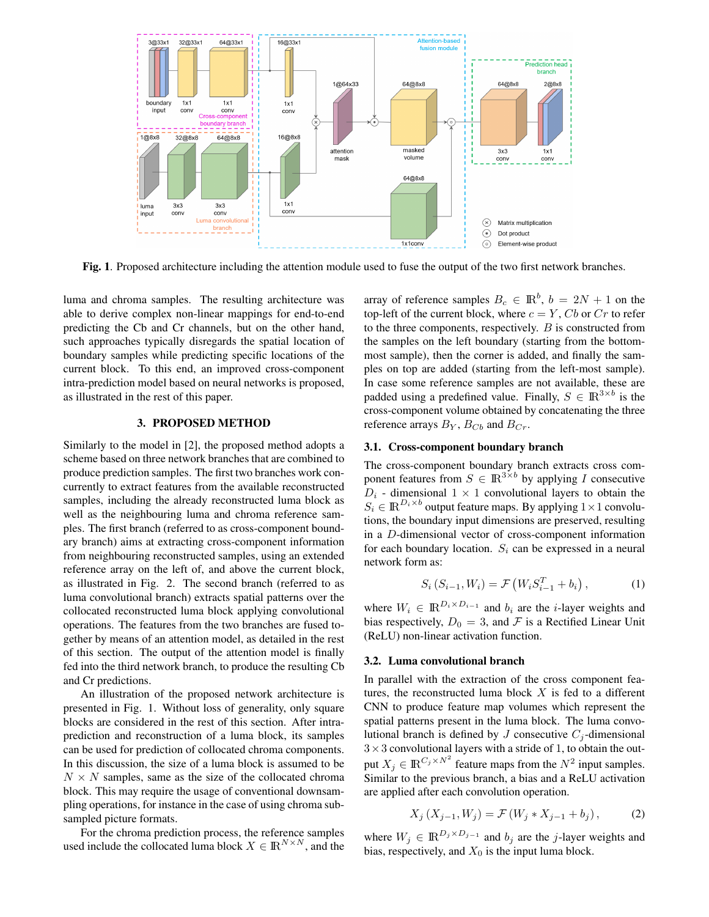

Fig. 1. Proposed architecture including the attention module used to fuse the output of the two first network branches.

luma and chroma samples. The resulting architecture was able to derive complex non-linear mappings for end-to-end predicting the Cb and Cr channels, but on the other hand, such approaches typically disregards the spatial location of boundary samples while predicting specific locations of the current block. To this end, an improved cross-component intra-prediction model based on neural networks is proposed, as illustrated in the rest of this paper.

## 3. PROPOSED METHOD

Similarly to the model in [2], the proposed method adopts a scheme based on three network branches that are combined to produce prediction samples. The first two branches work concurrently to extract features from the available reconstructed samples, including the already reconstructed luma block as well as the neighbouring luma and chroma reference samples. The first branch (referred to as cross-component boundary branch) aims at extracting cross-component information from neighbouring reconstructed samples, using an extended reference array on the left of, and above the current block, as illustrated in Fig. 2. The second branch (referred to as luma convolutional branch) extracts spatial patterns over the collocated reconstructed luma block applying convolutional operations. The features from the two branches are fused together by means of an attention model, as detailed in the rest of this section. The output of the attention model is finally fed into the third network branch, to produce the resulting Cb and Cr predictions.

An illustration of the proposed network architecture is presented in Fig. 1. Without loss of generality, only square blocks are considered in the rest of this section. After intraprediction and reconstruction of a luma block, its samples can be used for prediction of collocated chroma components. In this discussion, the size of a luma block is assumed to be  $N \times N$  samples, same as the size of the collocated chroma block. This may require the usage of conventional downsampling operations, for instance in the case of using chroma subsampled picture formats.

For the chroma prediction process, the reference samples used include the collocated luma block  $X \in \mathbb{R}^{N \times N}$ , and the

array of reference samples  $B_c \in \mathbb{R}^b$ ,  $b = 2N + 1$  on the top-left of the current block, where  $c = Y$ , Cb or Cr to refer to the three components, respectively.  $B$  is constructed from the samples on the left boundary (starting from the bottommost sample), then the corner is added, and finally the samples on top are added (starting from the left-most sample). In case some reference samples are not available, these are padded using a predefined value. Finally,  $S \in \mathbb{R}^{3 \times b}$  is the cross-component volume obtained by concatenating the three reference arrays  $B_Y$ ,  $B_{Cb}$  and  $B_{Cr}$ .

### 3.1. Cross-component boundary branch

The cross-component boundary branch extracts cross component features from  $S \in \mathbb{R}^{3 \times b}$  by applying I consecutive  $D_i$  - dimensional  $1 \times 1$  convolutional layers to obtain the  $S_i \in \mathbb{R}^{D_i \times b}$  output feature maps. By applying  $1 \times 1$  convolutions, the boundary input dimensions are preserved, resulting in a D-dimensional vector of cross-component information for each boundary location.  $S_i$  can be expressed in a neural network form as:

$$
S_i(S_{i-1}, W_i) = \mathcal{F}(W_i S_{i-1}^T + b_i), \qquad (1)
$$

where  $W_i \in \mathbb{R}^{D_i \times D_{i-1}}$  and  $b_i$  are the *i*-layer weights and bias respectively,  $D_0 = 3$ , and F is a Rectified Linear Unit (ReLU) non-linear activation function.

# 3.2. Luma convolutional branch

In parallel with the extraction of the cross component features, the reconstructed luma block  $X$  is fed to a different CNN to produce feature map volumes which represent the spatial patterns present in the luma block. The luma convolutional branch is defined by J consecutive  $C_i$ -dimensional  $3\times3$  convolutional layers with a stride of 1, to obtain the output  $X_j \in \mathbb{R}^{C_j \times N^2}$  feature maps from the  $N^2$  input samples. Similar to the previous branch, a bias and a ReLU activation are applied after each convolution operation.

$$
X_j(X_{j-1}, W_j) = \mathcal{F}(W_j * X_{j-1} + b_j), \tag{2}
$$

where  $W_j \in \mathbb{R}^{D_j \times D_{j-1}}$  and  $b_j$  are the j-layer weights and bias, respectively, and  $X_0$  is the input luma block.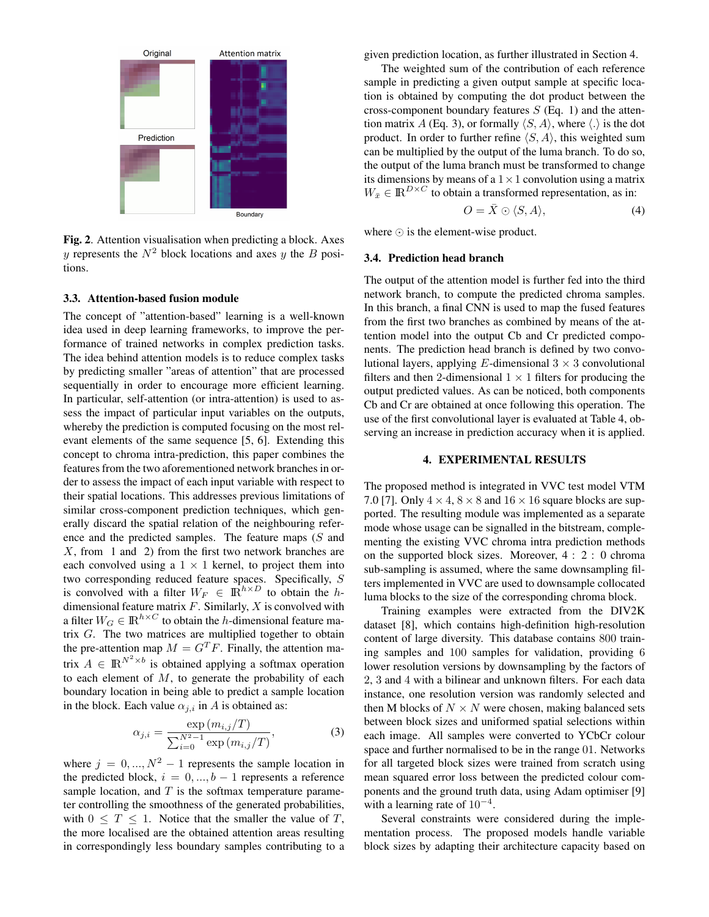

Fig. 2. Attention visualisation when predicting a block. Axes y represents the  $N^2$  block locations and axes y the B positions.

#### 3.3. Attention-based fusion module

The concept of "attention-based" learning is a well-known idea used in deep learning frameworks, to improve the performance of trained networks in complex prediction tasks. The idea behind attention models is to reduce complex tasks by predicting smaller "areas of attention" that are processed sequentially in order to encourage more efficient learning. In particular, self-attention (or intra-attention) is used to assess the impact of particular input variables on the outputs, whereby the prediction is computed focusing on the most relevant elements of the same sequence [5, 6]. Extending this concept to chroma intra-prediction, this paper combines the features from the two aforementioned network branches in order to assess the impact of each input variable with respect to their spatial locations. This addresses previous limitations of similar cross-component prediction techniques, which generally discard the spatial relation of the neighbouring reference and the predicted samples. The feature maps (S and  $X$ , from 1 and 2) from the first two network branches are each convolved using a  $1 \times 1$  kernel, to project them into two corresponding reduced feature spaces. Specifically, S is convolved with a filter  $W_F \in \mathbb{R}^{h \times D}$  to obtain the hdimensional feature matrix  $F$ . Similarly,  $X$  is convolved with a filter  $W_G \in \mathbb{R}^{h \times C}$  to obtain the *h*-dimensional feature matrix G. The two matrices are multiplied together to obtain the pre-attention map  $M = G<sup>T</sup>F$ . Finally, the attention matrix  $A \in \mathbb{R}^{N^2 \times b}$  is obtained applying a softmax operation to each element of  $M$ , to generate the probability of each boundary location in being able to predict a sample location in the block. Each value  $\alpha_{j,i}$  in A is obtained as:

$$
\alpha_{j,i} = \frac{\exp(m_{i,j}/T)}{\sum_{i=0}^{N^2 - 1} \exp(m_{i,j}/T)},
$$
\n(3)

where  $j = 0, ..., N^2 - 1$  represents the sample location in the predicted block,  $i = 0, ..., b - 1$  represents a reference sample location, and  $T$  is the softmax temperature parameter controlling the smoothness of the generated probabilities, with  $0 \leq T \leq 1$ . Notice that the smaller the value of T, the more localised are the obtained attention areas resulting in correspondingly less boundary samples contributing to a given prediction location, as further illustrated in Section 4.

The weighted sum of the contribution of each reference sample in predicting a given output sample at specific location is obtained by computing the dot product between the cross-component boundary features  $S$  (Eq. 1) and the attention matrix A (Eq. 3), or formally  $\langle S, A \rangle$ , where  $\langle . \rangle$  is the dot product. In order to further refine  $\langle S, A \rangle$ , this weighted sum can be multiplied by the output of the luma branch. To do so, the output of the luma branch must be transformed to change its dimensions by means of a  $1 \times 1$  convolution using a matrix  $W_{\bar{x}} \in \mathbb{R}^{D \times C}$  to obtain a transformed representation, as in:

$$
O = \bar{X} \odot \langle S, A \rangle, \tag{4}
$$

where  $\odot$  is the element-wise product.

#### 3.4. Prediction head branch

The output of the attention model is further fed into the third network branch, to compute the predicted chroma samples. In this branch, a final CNN is used to map the fused features from the first two branches as combined by means of the attention model into the output Cb and Cr predicted components. The prediction head branch is defined by two convolutional layers, applying E-dimensional  $3 \times 3$  convolutional filters and then 2-dimensional  $1 \times 1$  filters for producing the output predicted values. As can be noticed, both components Cb and Cr are obtained at once following this operation. The use of the first convolutional layer is evaluated at Table 4, observing an increase in prediction accuracy when it is applied.

### 4. EXPERIMENTAL RESULTS

The proposed method is integrated in VVC test model VTM 7.0 [7]. Only  $4 \times 4$ ,  $8 \times 8$  and  $16 \times 16$  square blocks are supported. The resulting module was implemented as a separate mode whose usage can be signalled in the bitstream, complementing the existing VVC chroma intra prediction methods on the supported block sizes. Moreover, 4 : 2 : 0 chroma sub-sampling is assumed, where the same downsampling filters implemented in VVC are used to downsample collocated luma blocks to the size of the corresponding chroma block.

Training examples were extracted from the DIV2K dataset [8], which contains high-definition high-resolution content of large diversity. This database contains 800 training samples and 100 samples for validation, providing 6 lower resolution versions by downsampling by the factors of 2, 3 and 4 with a bilinear and unknown filters. For each data instance, one resolution version was randomly selected and then M blocks of  $N \times N$  were chosen, making balanced sets between block sizes and uniformed spatial selections within each image. All samples were converted to YCbCr colour space and further normalised to be in the range 01. Networks for all targeted block sizes were trained from scratch using mean squared error loss between the predicted colour components and the ground truth data, using Adam optimiser [9] with a learning rate of  $10^{-4}$ .

Several constraints were considered during the implementation process. The proposed models handle variable block sizes by adapting their architecture capacity based on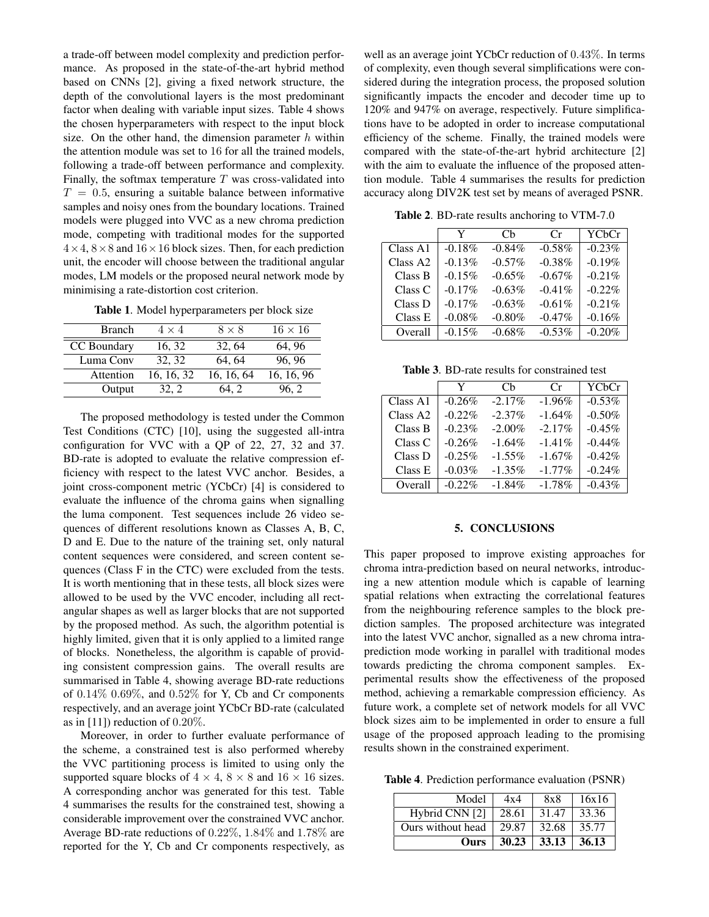a trade-off between model complexity and prediction performance. As proposed in the state-of-the-art hybrid method based on CNNs [2], giving a fixed network structure, the depth of the convolutional layers is the most predominant factor when dealing with variable input sizes. Table 4 shows the chosen hyperparameters with respect to the input block size. On the other hand, the dimension parameter  $h$  within the attention module was set to 16 for all the trained models, following a trade-off between performance and complexity. Finally, the softmax temperature  $T$  was cross-validated into  $T = 0.5$ , ensuring a suitable balance between informative samples and noisy ones from the boundary locations. Trained models were plugged into VVC as a new chroma prediction mode, competing with traditional modes for the supported  $4 \times 4$ ,  $8 \times 8$  and  $16 \times 16$  block sizes. Then, for each prediction unit, the encoder will choose between the traditional angular modes, LM models or the proposed neural network mode by minimising a rate-distortion cost criterion.

Table 1. Model hyperparameters per block size

| <b>Branch</b> | $4 \times 4$ | $8 \times 8$ | $16 \times 16$ |
|---------------|--------------|--------------|----------------|
| CC Boundary   | 16, 32       | 32.64        | 64.96          |
| Luma Conv     | 32.32        | 64.64        | 96.96          |
| Attention     | 16, 16, 32   | 16, 16, 64   | 16, 16, 96     |
| Output        | 32. 2        | 64.2         | 96. 2          |

The proposed methodology is tested under the Common Test Conditions (CTC) [10], using the suggested all-intra configuration for VVC with a QP of 22, 27, 32 and 37. BD-rate is adopted to evaluate the relative compression efficiency with respect to the latest VVC anchor. Besides, a joint cross-component metric (YCbCr) [4] is considered to evaluate the influence of the chroma gains when signalling the luma component. Test sequences include 26 video sequences of different resolutions known as Classes A, B, C, D and E. Due to the nature of the training set, only natural content sequences were considered, and screen content sequences (Class F in the CTC) were excluded from the tests. It is worth mentioning that in these tests, all block sizes were allowed to be used by the VVC encoder, including all rectangular shapes as well as larger blocks that are not supported by the proposed method. As such, the algorithm potential is highly limited, given that it is only applied to a limited range of blocks. Nonetheless, the algorithm is capable of providing consistent compression gains. The overall results are summarised in Table 4, showing average BD-rate reductions of  $0.14\%$   $0.69\%$ , and  $0.52\%$  for Y, Cb and Cr components respectively, and an average joint YCbCr BD-rate (calculated as in  $[11]$ ) reduction of 0.20%.

Moreover, in order to further evaluate performance of the scheme, a constrained test is also performed whereby the VVC partitioning process is limited to using only the supported square blocks of  $4 \times 4$ ,  $8 \times 8$  and  $16 \times 16$  sizes. A corresponding anchor was generated for this test. Table 4 summarises the results for the constrained test, showing a considerable improvement over the constrained VVC anchor. Average BD-rate reductions of 0.22%, 1.84% and 1.78% are reported for the Y, Cb and Cr components respectively, as

well as an average joint YCbCr reduction of 0.43%. In terms of complexity, even though several simplifications were considered during the integration process, the proposed solution significantly impacts the encoder and decoder time up to 120% and 947% on average, respectively. Future simplifications have to be adopted in order to increase computational efficiency of the scheme. Finally, the trained models were compared with the state-of-the-art hybrid architecture [2] with the aim to evaluate the influence of the proposed attention module. Table 4 summarises the results for prediction accuracy along DIV2K test set by means of averaged PSNR.

Table 2. BD-rate results anchoring to VTM-7.0

|                      | Y         | Ch        | Cr        | YCbCr    |
|----------------------|-----------|-----------|-----------|----------|
| Class A1             | $-0.18%$  | $-0.84%$  | $-0.58%$  | $-0.23%$ |
| Class A <sub>2</sub> | $-0.13%$  | $-0.57\%$ | $-0.38%$  | $-0.19%$ |
| Class B              | $-0.15%$  | $-0.65\%$ | $-0.67\%$ | $-0.21%$ |
| Class C              | $-0.17%$  | $-0.63%$  | $-0.41\%$ | $-0.22%$ |
| Class D              | $-0.17%$  | $-0.63%$  | $-0.61%$  | $-0.21%$ |
| Class E              | $-0.08\%$ | $-0.80\%$ | $-0.47%$  | $-0.16%$ |
| Overall              | $-0.15%$  | $-0.68\%$ | $-0.53%$  | $-0.20%$ |

Table 3. BD-rate results for constrained test

|          | Y        | Ch        | Cr        | YCbCr    |
|----------|----------|-----------|-----------|----------|
| Class A1 | $-0.26%$ | $-2.17%$  | $-1.96%$  | $-0.53%$ |
| Class A2 | $-0.22%$ | $-2.37\%$ | $-1.64%$  | $-0.50%$ |
| Class B  | $-0.23%$ | $-2.00\%$ | $-2.17%$  | $-0.45%$ |
| Class C  | $-0.26%$ | $-1.64\%$ | $-1.41\%$ | $-0.44%$ |
| Class D  | $-0.25%$ | $-1.55\%$ | $-1.67\%$ | $-0.42%$ |
| Class E  | $-0.03%$ | $-1.35\%$ | $-1.77\%$ | $-0.24%$ |
| Overall  | $-0.22%$ | $-1.84\%$ | $-1.78%$  | $-0.43%$ |

## 5. CONCLUSIONS

This paper proposed to improve existing approaches for chroma intra-prediction based on neural networks, introducing a new attention module which is capable of learning spatial relations when extracting the correlational features from the neighbouring reference samples to the block prediction samples. The proposed architecture was integrated into the latest VVC anchor, signalled as a new chroma intraprediction mode working in parallel with traditional modes towards predicting the chroma component samples. Experimental results show the effectiveness of the proposed method, achieving a remarkable compression efficiency. As future work, a complete set of network models for all VVC block sizes aim to be implemented in order to ensure a full usage of the proposed approach leading to the promising results shown in the constrained experiment.

Table 4. Prediction performance evaluation (PSNR)

| Model             | 4x4   | 8x8   | 16x16 |
|-------------------|-------|-------|-------|
| Hybrid CNN [2]    | 28.61 | 31.47 | 33.36 |
| Ours without head | 29.87 | 32.68 | 35.77 |
| <b>Ours</b>       | 30.23 | 33.13 | 36.13 |